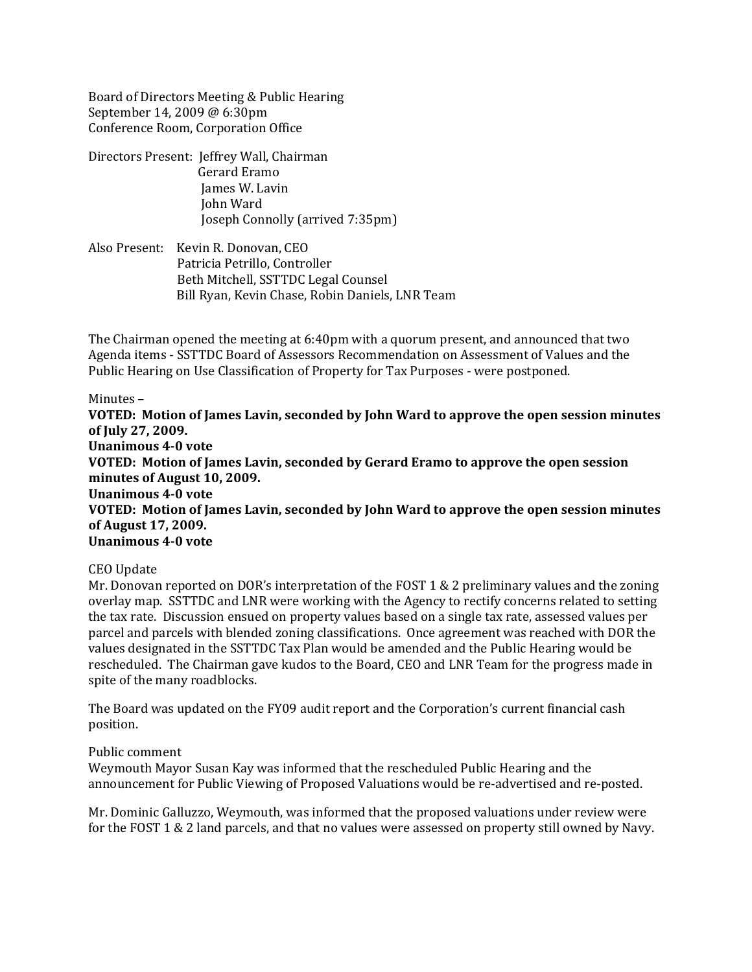Board of Directors Meeting & Public Hearing September 14, 2009 @ 6:30pm Conference Room, Corporation Office

- Directors Present: Jeffrey Wall, Chairman Gerard Eramo James W. Lavin John Ward Joseph Connolly (arrived 7:35pm)
- Also Present: Kevin R. Donovan, CEO Patricia Petrillo, Controller Beth Mitchell, SSTTDC Legal Counsel Bill Ryan, Kevin Chase, Robin Daniels, LNR Team

The Chairman opened the meeting at 6:40pm with a quorum present, and announced that two Agenda items ‐ SSTTDC Board of Assessors Recommendation on Assessment of Values and the Public Hearing on Use Classification of Property for Tax Purposes ‐ were postponed.

## Minutes –

**VOTED: Motion of James Lavin, seconded by John Ward to approve the open session minutes of July 27, 2009. Unanimous 40 vote VOTED: Motion of James Lavin, seconded by Gerard Eramo to approve the open session minutes of August 10, 2009. Unanimous 40 vote VOTED: Motion of James Lavin, seconded by John Ward to approve the open session minutes of August 17, 2009. Unanimous 40 vote**

## CEO Update

Mr. Donovan reported on DOR's interpretation of the FOST 1 & 2 preliminary values and the zoning overlay map. SSTTDC and LNR were working with the Agency to rectify concerns related to setting the tax rate. Discussion ensued on property values based on a single tax rate, assessed values per parcel and parcels with blended zoning classifications. Once agreement was reached with DOR the values designated in the SSTTDC Tax Plan would be amended and the Public Hearing would be rescheduled. The Chairman gave kudos to the Board, CEO and LNR Team for the progress made in spite of the many roadblocks.

The Board was updated on the FY09 audit report and the Corporation's current financial cash position.

## Public comment

Weymouth Mayor Susan Kay was informed that the rescheduled Public Hearing and the announcement for Public Viewing of Proposed Valuations would be re‐advertised and re‐posted.

Mr. Dominic Galluzzo, Weymouth, was informed that the proposed valuations under review were for the FOST 1 & 2 land parcels, and that no values were assessed on property still owned by Navy.